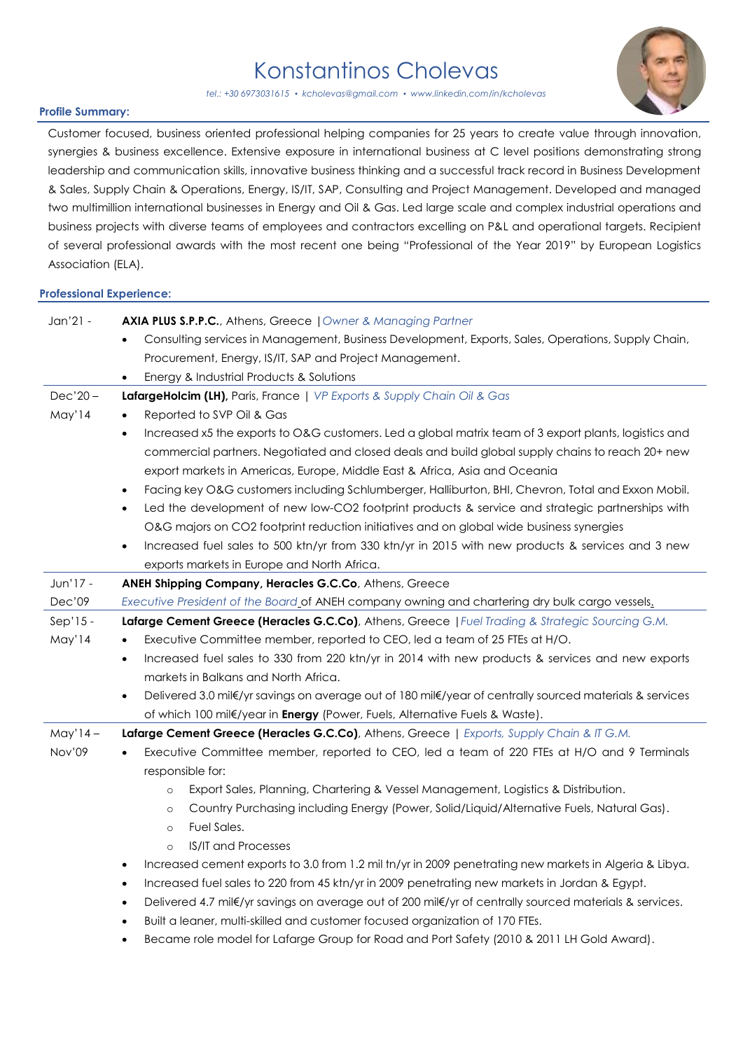## Konstantinos Cholevas



*tel.: +30 6973031615 • [kcholevas@gmail.com](mailto:kcholevas@gmail.com)* • *www.linkedin.com/in/kcholevas*

## **Profile Summary:**

Customer focused, business oriented professional helping companies for 25 years to create value through innovation, synergies & business excellence. Extensive exposure in international business at C level positions demonstrating strong leadership and communication skills, innovative business thinking and a successful track record in Business Development & Sales, Supply Chain & Operations, Energy, IS/IT, SAP, Consulting and Project Management. Developed and managed two multimillion international businesses in Energy and Oil & Gas. Led large scale and complex industrial operations and business projects with diverse teams of employees and contractors excelling on P&L and operational targets. Recipient of several professional awards with the most recent one being "Professional of the Year 2019" by European Logistics Association (ELA).

## **Professional Experience:**

| Jan'21 -   | AXIA PLUS S.P.P.C., Athens, Greece   Owner & Managing Partner                                                        |
|------------|----------------------------------------------------------------------------------------------------------------------|
|            | Consulting services in Management, Business Development, Exports, Sales, Operations, Supply Chain,                   |
|            | Procurement, Energy, IS/IT, SAP and Project Management.                                                              |
|            | Energy & Industrial Products & Solutions                                                                             |
| $Dec'20 -$ | LafargeHolcim (LH), Paris, France   VP Exports & Supply Chain Oil & Gas                                              |
| May'14     | Reported to SVP Oil & Gas                                                                                            |
|            | Increased x5 the exports to O&G customers. Led a global matrix team of 3 export plants, logistics and<br>$\bullet$   |
|            | commercial partners. Negotiated and closed deals and build global supply chains to reach 20+ new                     |
|            | export markets in Americas, Europe, Middle East & Africa, Asia and Oceania                                           |
|            | Facing key O&G customers including Schlumberger, Halliburton, BHI, Chevron, Total and Exxon Mobil.<br>$\bullet$      |
|            | Led the development of new low-CO2 footprint products & service and strategic partnerships with<br>$\bullet$         |
|            | O&G majors on CO2 footprint reduction initiatives and on global wide business synergies                              |
|            | Increased fuel sales to 500 ktn/yr from 330 ktn/yr in 2015 with new products & services and 3 new<br>$\bullet$       |
|            | exports markets in Europe and North Africa.                                                                          |
| Jun'17 -   | ANEH Shipping Company, Heracles G.C.Co, Athens, Greece                                                               |
| Dec'09     | Executive President of the Board of ANEH company owning and chartering dry bulk cargo vessels.                       |
| $Sep'15 -$ | Lafarge Cement Greece (Heracles G.C.Co), Athens, Greece   Fuel Trading & Strategic Sourcing G.M.                     |
| May'14     | Executive Committee member, reported to CEO, led a team of 25 FTEs at H/O.                                           |
|            | Increased fuel sales to 330 from 220 ktn/yr in 2014 with new products & services and new exports<br>$\bullet$        |
|            | markets in Balkans and North Africa.                                                                                 |
|            | Delivered 3.0 mil€/yr savings on average out of 180 mil€/year of centrally sourced materials & services<br>$\bullet$ |
|            | of which 100 mil€/year in Energy (Power, Fuels, Alternative Fuels & Waste).                                          |
| $May'14-$  | Lafarge Cement Greece (Heracles G.C.Co), Athens, Greece   Exports, Supply Chain & IT G.M.                            |
| Nov'09     | Executive Committee member, reported to CEO, led a team of 220 FTEs at H/O and 9 Terminals                           |
|            | responsible for:                                                                                                     |
|            | Export Sales, Planning, Chartering & Vessel Management, Logistics & Distribution.<br>$\circ$                         |
|            | Country Purchasing including Energy (Power, Solid/Liquid/Alternative Fuels, Natural Gas).<br>$\circ$                 |
|            | Fuel Sales.<br>$\circ$                                                                                               |
|            | <b>IS/IT and Processes</b><br>$\circ$                                                                                |
|            | Increased cement exports to 3.0 from 1.2 mil tn/yr in 2009 penetrating new markets in Algeria & Libya.<br>$\bullet$  |
|            | Increased fuel sales to 220 from 45 ktn/yr in 2009 penetrating new markets in Jordan & Egypt.<br>$\bullet$           |
|            | Delivered 4.7 mil€/yr savings on average out of 200 mil€/yr of centrally sourced materials & services.<br>$\bullet$  |
|            | Built a leaner, multi-skilled and customer focused organization of 170 FTEs.                                         |
|            | Became role model for Lafarge Group for Road and Port Safety (2010 & 2011 LH Gold Award).                            |